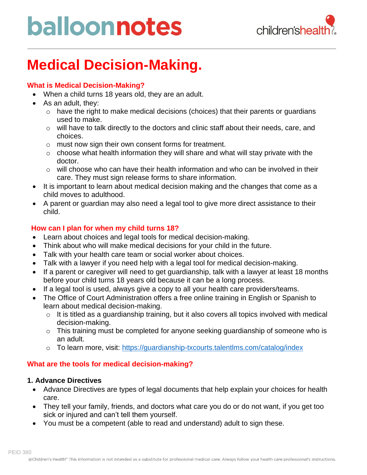

### **Medical Decision-Making.**

#### **What is Medical Decision-Making?**

- When a child turns 18 years old, they are an adult.
- As an adult, they:
	- o have the right to make medical decisions (choices) that their parents or guardians used to make.
	- o will have to talk directly to the doctors and clinic staff about their needs, care, and choices.
	- o must now sign their own consent forms for treatment.
	- $\circ$  choose what health information they will share and what will stay private with the doctor.
	- o will choose who can have their health information and who can be involved in their care. They must sign release forms to share information.
- It is important to learn about medical decision making and the changes that come as a child moves to adulthood.
- A parent or guardian may also need a legal tool to give more direct assistance to their child.

#### **How can I plan for when my child turns 18?**

- Learn about choices and legal tools for medical decision-making.
- Think about who will make medical decisions for your child in the future.
- Talk with your health care team or social worker about choices.
- Talk with a lawyer if you need help with a legal tool for medical decision-making.
- If a parent or caregiver will need to get guardianship, talk with a lawyer at least 18 months before your child turns 18 years old because it can be a long process.
- If a legal tool is used, always give a copy to all your health care providers/teams.
- The Office of Court Administration offers a free online training in English or Spanish to learn about medical decision-making.
	- $\circ$  It is titled as a guardianship training, but it also covers all topics involved with medical decision-making.
	- o This training must be completed for anyone seeking guardianship of someone who is an adult.
	- o To learn more, visit:<https://guardianship-txcourts.talentlms.com/catalog/index>

#### **What are the tools for medical decision-making?**

#### **1. Advance Directives**

- Advance Directives are types of legal documents that help explain your choices for health care.
- They tell your family, friends, and doctors what care you do or do not want, if you get too sick or injured and can't tell them yourself.
- You must be a competent (able to read and understand) adult to sign these.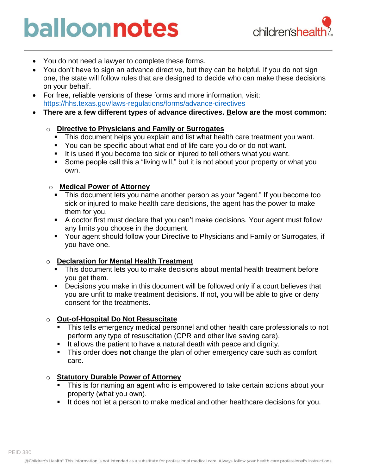

- You do not need a lawyer to complete these forms.
- You don't have to sign an advance directive, but they can be helpful. If you do not sign one, the state will follow rules that are designed to decide who can make these decisions on your behalf.
- For free, reliable versions of these forms and more information, visit: <https://hhs.texas.gov/laws-regulations/forms/advance-directives>
- **There are a few different types of advance directives. Below are the most common:**

#### o **[Directive to Physicians and Family or Surrogates](https://hhs.texas.gov/laws-regulations/forms/miscellaneous/form-livingwill-directive-physicians-family-or-surrogates)**

- **This document helps you explain and list what health care treatment you want.**
- You can be specific about what end of life care you do or do not want.
- It is used if you become too sick or injured to tell others what you want.
- Some people call this a "living will," but it is not about your property or what you own.

#### o **[Medical Power of Attorney](https://hhs.texas.gov/laws-regulations/forms/miscellaneous/mpoa-medical-power-attorney)**

- This document lets you name another person as your "agent." If you become too sick or injured to make health care decisions, the agent has the power to make them for you.
- A doctor first must declare that you can't make decisions. Your agent must follow any limits you choose in the document.
- Your agent should follow your Directive to Physicians and Family or Surrogates, if you have one.

#### o **[Declaration for Mental Health Treatment](https://hhs.texas.gov/laws-regulations/forms/miscellaneous/form-dmht-declaration-mental-health-treatment)**

- **This document lets you to make decisions about mental health treatment before** you get them.
- Decisions you make in this document will be followed only if a court believes that you are unfit to make treatment decisions. If not, you will be able to give or deny consent for the treatments.

#### o **Out-of-Hospital Do Not Resuscitate**

- This tells emergency medical personnel and other health care professionals to not perform any type of resuscitation (CPR and other live saving care).
- It allows the patient to have a natural death with peace and dignity.
- This order does **not** change the plan of other emergency care such as comfort care.

#### o **[Statutory Durable Power of Attorney](https://hhs.texas.gov/laws-regulations/forms/miscellaneous/sdpoa-statutory-durable-power-attorney)**

- **EXT** This is for naming an agent who is empowered to take certain actions about your property (what you own).
- It does not let a person to make medical and other healthcare decisions for you.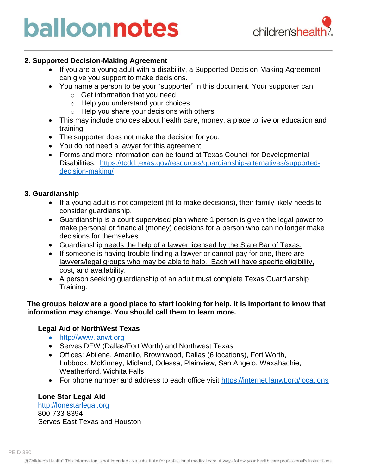

#### **2. Supported Decision-Making Agreement**

- If you are a young adult with a disability, a Supported Decision-Making Agreement can give you support to make decisions.
- You name a person to be your "supporter" in this document. Your supporter can:
	- o Get information that you need
	- o Help you understand your choices
	- o Help you share your decisions with others
- This may include choices about health care, money, a place to live or education and training.
- The supporter does not make the decision for you.
- You do not need a lawyer for this agreement.
- Forms and more information can be found at Texas Council for Developmental Disabilities: [https://tcdd.texas.gov/resources/guardianship-alternatives/supported](https://tcdd.texas.gov/resources/guardianship-alternatives/supported-decision-making/)[decision-making/](https://tcdd.texas.gov/resources/guardianship-alternatives/supported-decision-making/)

#### **3. Guardianship**

- If a young adult is not competent (fit to make decisions), their family likely needs to consider guardianship.
- Guardianship is a court-supervised plan where 1 person is given the legal power to make personal or financial (money) decisions for a person who can no longer make decisions for themselves.
- Guardianship needs the help of a lawyer licensed by the State Bar of Texas.
- If someone is having trouble finding a lawyer or cannot pay for one, there are lawyers/legal groups who may be able to help. Each will have specific eligibility, cost, and availability.
- A person seeking guardianship of an adult must complete Texas Guardianship Training.

#### **The groups below are a good place to start looking for help. It is important to know that information may change. You should call them to learn more.**

#### **Legal Aid of NorthWest Texas**

- [http://www.lanwt.org](http://www.lanwt.org/)
- Serves DFW (Dallas/Fort Worth) and Northwest Texas
- Offices: Abilene, Amarillo, Brownwood, Dallas (6 locations), Fort Worth, Lubbock, McKinney, Midland, Odessa, Plainview, San Angelo, Waxahachie, Weatherford, Wichita Falls
- For phone number and address to each office visit<https://internet.lanwt.org/locations>

#### **Lone Star Legal Aid**

[http://lonestarlegal.org](http://lonestarlegal.org/) 800-733-8394 Serves East Texas and Houston